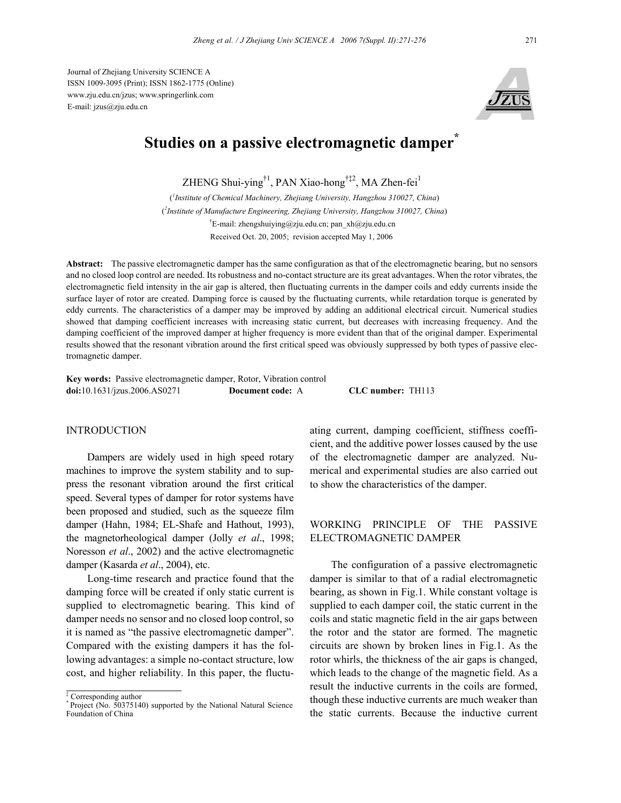Journal of Zhejiang University SCIENCE A ISSN 1009-3095 (Print); ISSN 1862-1775 (Online) www.zju.edu.cn/jzus; www.springerlink.com E-mail: jzus@zju.edu.cn



# **Studies on a passive electromagnetic damper\***

ZHENG Shui-ying†1, PAN Xiao-hong†‡2, MA Zhen-fei1

( *1 Institute of Chemical Machinery, Zhejiang University, Hangzhou 310027, China*) ( *2 Institute of Manufacture Engineering, Zhejiang University, Hangzhou 310027, China*) † E-mail: zhengshuiying@zju.edu.cn; pan\_xh@zju.edu.cn Received Oct. 20, 2005; revision accepted May 1, 2006

**Abstract:** The passive electromagnetic damper has the same configuration as that of the electromagnetic bearing, but no sensors and no closed loop control are needed. Its robustness and no-contact structure are its great advantages. When the rotor vibrates, the electromagnetic field intensity in the air gap is altered, then fluctuating currents in the damper coils and eddy currents inside the surface layer of rotor are created. Damping force is caused by the fluctuating currents, while retardation torque is generated by eddy currents. The characteristics of a damper may be improved by adding an additional electrical circuit. Numerical studies showed that damping coefficient increases with increasing static current, but decreases with increasing frequency. And the damping coefficient of the improved damper at higher frequency is more evident than that of the original damper. Experimental results showed that the resonant vibration around the first critical speed was obviously suppressed by both types of passive electromagnetic damper.

**Key words:** Passive electromagnetic damper, Rotor, Vibration control **doi:**10.1631/jzus.2006.AS0271 **Document code:** A **CLC number:** TH113

## INTRODUCTION

Dampers are widely used in high speed rotary machines to improve the system stability and to suppress the resonant vibration around the first critical speed. Several types of damper for rotor systems have been proposed and studied, such as the squeeze film damper (Hahn, 1984; EL-Shafe and Hathout, 1993), the magnetorheological damper (Jolly *et al*., 1998; Noresson *et al*., 2002) and the active electromagnetic damper (Kasarda *et al*., 2004), etc.

Long-time research and practice found that the damping force will be created if only static current is supplied to electromagnetic bearing. This kind of damper needs no sensor and no closed loop control, so it is named as "the passive electromagnetic damper". Compared with the existing dampers it has the following advantages: a simple no-contact structure, low cost, and higher reliability. In this paper, the fluctuating current, damping coefficient, stiffness coefficient, and the additive power losses caused by the use of the electromagnetic damper are analyzed. Numerical and experimental studies are also carried out to show the characteristics of the damper.

# WORKING PRINCIPLE OF THE PASSIVE ELECTROMAGNETIC DAMPER

The configuration of a passive electromagnetic damper is similar to that of a radial electromagnetic bearing, as shown in Fig.1. While constant voltage is supplied to each damper coil, the static current in the coils and static magnetic field in the air gaps between the rotor and the stator are formed. The magnetic circuits are shown by broken lines in Fig.1. As the rotor whirls, the thickness of the air gaps is changed, which leads to the change of the magnetic field. As a result the inductive currents in the coils are formed, though these inductive currents are much weaker than the static currents. Because the inductive current

<sup>‡</sup> Corresponding author

<sup>\*</sup> Project (No. 50375140) supported by the National Natural Science Foundation of China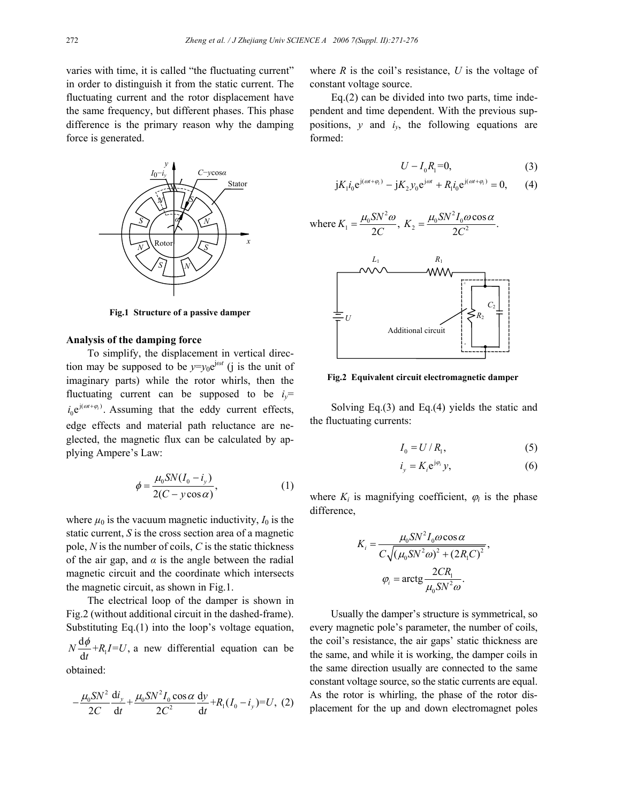varies with time, it is called "the fluctuating current" in order to distinguish it from the static current. The fluctuating current and the rotor displacement have the same frequency, but different phases. This phase difference is the primary reason why the damping force is generated.



**Fig.1 Structure of a passive damper** 

## **Analysis of the damping force**

To simplify, the displacement in vertical direction may be supposed to be  $y=y_0e^{j\omega t}$  (j is the unit of imaginary parts) while the rotor whirls, then the fluctuating current can be supposed to be  $i_y$ =  $i_0 e^{j(\omega t + \varphi_i)}$ . Assuming that the eddy current effects, edge effects and material path reluctance are neglected, the magnetic flux can be calculated by applying Ampere's Law:

$$
\phi = \frac{\mu_0 S N (I_0 - i_y)}{2(C - y \cos \alpha)},\tag{1}
$$

where  $\mu_0$  is the vacuum magnetic inductivity,  $I_0$  is the static current, *S* is the cross section area of a magnetic pole, *N* is the number of coils, *C* is the static thickness of the air gap, and  $\alpha$  is the angle between the radial magnetic circuit and the coordinate which intersects the magnetic circuit, as shown in Fig.1.

The electrical loop of the damper is shown in Fig.2 (without additional circuit in the dashed-frame). Substituting Eq.(1) into the loop's voltage equation, 1  $N \frac{\mathrm{d}\phi}{\mathrm{d}t} + R_1 I = U,$ *t*  $\frac{\phi}{A}$ +R<sub>1</sub>I=U, a new differential equation can be obtained:

$$
-\frac{\mu_0 S N^2}{2C} \frac{di_y}{dt} + \frac{\mu_0 S N^2 I_0 \cos \alpha}{2C^2} \frac{dy}{dt} + R_1 (I_0 - i_y) = U, (2)
$$

where  $R$  is the coil's resistance,  $U$  is the voltage of constant voltage source.

Eq.(2) can be divided into two parts, time independent and time dependent. With the previous suppositions,  $y$  and  $i_y$ , the following equations are formed:

$$
U - I_0 R_1 = 0,\t\t(3)
$$

$$
jK_1i_0e^{j(\omega t + \varphi_i)} - jK_2y_0e^{j\omega t} + R_1i_0e^{j(\omega t + \varphi_i)} = 0, \qquad (4)
$$

where 
$$
K_1 = \frac{\mu_0 S N^2 \omega}{2C}
$$
,  $K_2 = \frac{\mu_0 S N^2 I_0 \omega \cos \alpha}{2C^2}$ .



**Fig.2 Equivalent circuit electromagnetic damper** 

Solving Eq.(3) and Eq.(4) yields the static and the fluctuating currents:

$$
I_0 = U/R_1,\tag{5}
$$

$$
i_y = K_i e^{j\varphi_i} y,\tag{6}
$$

where  $K_i$  is magnifying coefficient,  $\varphi_i$  is the phase difference,

$$
K_{i} = \frac{\mu_{0} S N^{2} I_{0} \omega \cos \alpha}{C \sqrt{(\mu_{0} S N^{2} \omega)^{2} + (2R_{1} C)^{2}}},
$$

$$
\varphi_{i} = \arctg \frac{2 C R_{1}}{\mu_{0} S N^{2} \omega}.
$$

Usually the damper's structure is symmetrical, so every magnetic pole's parameter, the number of coils, the coil's resistance, the air gaps' static thickness are the same, and while it is working, the damper coils in the same direction usually are connected to the same constant voltage source, so the static currents are equal. As the rotor is whirling, the phase of the rotor displacement for the up and down electromagnet poles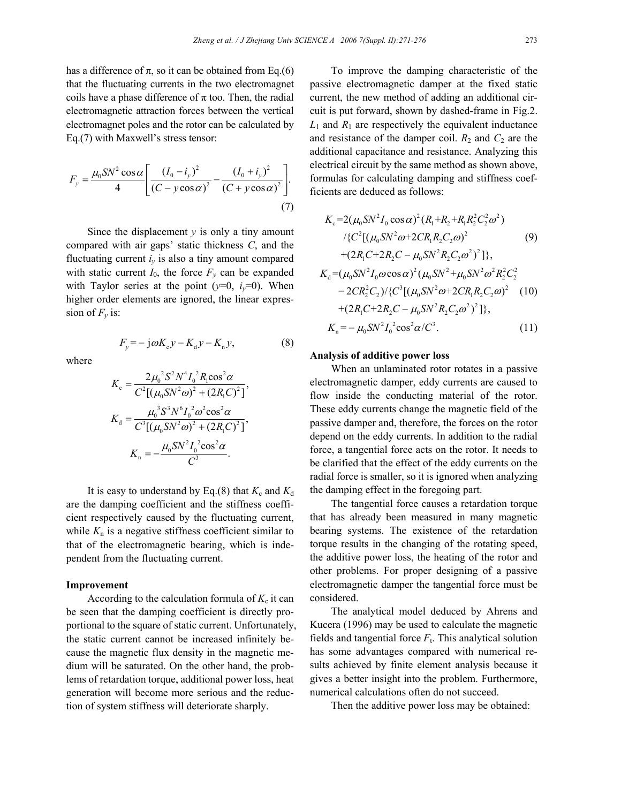has a difference of  $\pi$ , so it can be obtained from Eq.(6) that the fluctuating currents in the two electromagnet coils have a phase difference of  $\pi$  too. Then, the radial electromagnetic attraction forces between the vertical electromagnet poles and the rotor can be calculated by Eq.(7) with Maxwell's stress tensor:

$$
F_{y} = \frac{\mu_{0} SN^{2} \cos \alpha}{4} \left[ \frac{(I_{0} - i_{y})^{2}}{(C - y \cos \alpha)^{2}} - \frac{(I_{0} + i_{y})^{2}}{(C + y \cos \alpha)^{2}} \right].
$$
\n(7)

Since the displacement *y* is only a tiny amount compared with air gaps' static thickness *C*, and the fluctuating current  $i<sub>v</sub>$  is also a tiny amount compared with static current  $I_0$ , the force  $F_y$  can be expanded with Taylor series at the point  $(y=0, i_y=0)$ . When higher order elements are ignored, the linear expression of  $F_v$  is:

where

$$
F_y = -j\omega K_c y - K_d y - K_n y,\tag{8}
$$

$$
K_{\rm c} = \frac{2\mu_{0}^{2}S^{2}N^{4}I_{0}^{2}R_{\rm i}\cos^{2}\alpha}{C^{2}[(\mu_{0}SN^{2}\omega)^{2} + (2R_{\rm i}C)^{2}]},
$$
  
\n
$$
K_{\rm d} = \frac{\mu_{0}^{3}S^{3}N^{6}I_{0}^{2}\omega^{2}\cos^{2}\alpha}{C^{3}[(\mu_{0}SN^{2}\omega)^{2} + (2R_{\rm i}C)^{2}]},
$$
  
\n
$$
K_{\rm n} = -\frac{\mu_{0}SN^{2}I_{0}^{2}\cos^{2}\alpha}{C^{3}}.
$$

It is easy to understand by Eq.(8) that  $K_c$  and  $K_d$ are the damping coefficient and the stiffness coefficient respectively caused by the fluctuating current, while  $K_n$  is a negative stiffness coefficient similar to that of the electromagnetic bearing, which is independent from the fluctuating current.

# **Improvement**

According to the calculation formula of  $K_c$  it can be seen that the damping coefficient is directly proportional to the square of static current. Unfortunately, the static current cannot be increased infinitely because the magnetic flux density in the magnetic medium will be saturated. On the other hand, the problems of retardation torque, additional power loss, heat generation will become more serious and the reduction of system stiffness will deteriorate sharply.

To improve the damping characteristic of the passive electromagnetic damper at the fixed static current, the new method of adding an additional circuit is put forward, shown by dashed-frame in Fig.2.  $L_1$  and  $R_1$  are respectively the equivalent inductance and resistance of the damper coil.  $R_2$  and  $C_2$  are the additional capacitance and resistance. Analyzing this electrical circuit by the same method as shown above, formulas for calculating damping and stiffness coefficients are deduced as follows:

$$
K_{c} = 2(\mu_{0}SN^{2}I_{0} \cos \alpha)^{2}(R_{1}+R_{2}+R_{1}R_{2}^{2}C_{2}^{2}\omega^{2})
$$
  
\n
$$
/ \{C^{2}[(\mu_{0}SN^{2}\omega+2CR_{1}R_{2}C_{2}\omega)^{2} \qquad (9)
$$
  
\n
$$
+ (2R_{1}C+2R_{2}C - \mu_{0}SN^{2}R_{2}C_{2}\omega^{2})^{2}]\},
$$
  
\n
$$
K_{d} = (\mu_{0}SN^{2}I_{0}\omega \cos \alpha)^{2}(\mu_{0}SN^{2}+\mu_{0}SN^{2}\omega^{2}R_{2}^{2}C_{2}^{2})
$$
  
\n
$$
-2CR_{2}^{2}C_{2})/\{C^{3}[(\mu_{0}SN^{2}\omega+2CR_{1}R_{2}C_{2}\omega)^{2} \quad (10)
$$
  
\n
$$
+(2R_{1}C+2R_{2}C - \mu_{0}SN^{2}R_{2}C_{2}\omega^{2})^{2}]\},
$$
  
\n
$$
K_{n} = -\mu_{0}SN^{2}I_{0}^{2} \cos^{2} \alpha/C^{3}.
$$
  
\n(11)

#### **Analysis of additive power loss**

When an unlaminated rotor rotates in a passive electromagnetic damper, eddy currents are caused to flow inside the conducting material of the rotor. These eddy currents change the magnetic field of the passive damper and, therefore, the forces on the rotor depend on the eddy currents. In addition to the radial force, a tangential force acts on the rotor. It needs to be clarified that the effect of the eddy currents on the radial force is smaller, so it is ignored when analyzing the damping effect in the foregoing part.

The tangential force causes a retardation torque that has already been measured in many magnetic bearing systems. The existence of the retardation torque results in the changing of the rotating speed, the additive power loss, the heating of the rotor and other problems. For proper designing of a passive electromagnetic damper the tangential force must be considered.

The analytical model deduced by Ahrens and Kucera (1996) may be used to calculate the magnetic fields and tangential force  $F_t$ . This analytical solution has some advantages compared with numerical results achieved by finite element analysis because it gives a better insight into the problem. Furthermore, numerical calculations often do not succeed.

Then the additive power loss may be obtained: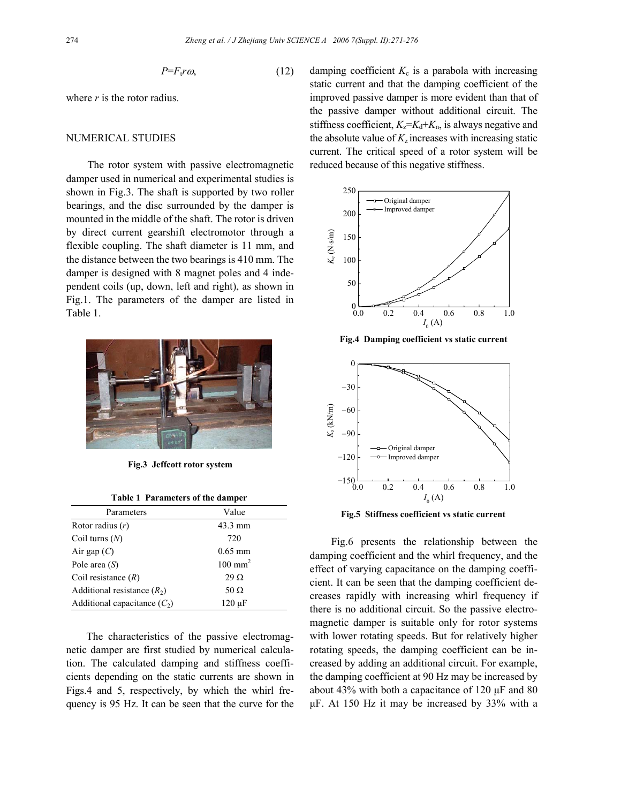$$
P = F_t r \omega, \tag{12}
$$

where *r* is the rotor radius.

#### NUMERICAL STUDIES

The rotor system with passive electromagnetic damper used in numerical and experimental studies is shown in Fig.3. The shaft is supported by two roller bearings, and the disc surrounded by the damper is mounted in the middle of the shaft. The rotor is driven by direct current gearshift electromotor through a flexible coupling. The shaft diameter is 11 mm, and the distance between the two bearings is 410 mm. The damper is designed with 8 magnet poles and 4 independent coils (up, down, left and right), as shown in Fig.1. The parameters of the damper are listed in Table 1.



**Fig.3 Jeffcott rotor system** 

| Table 1 Parameters of the damper |  |
|----------------------------------|--|
|----------------------------------|--|

| Parameters                     | Value              |
|--------------------------------|--------------------|
| Rotor radius $(r)$             | 43.3 mm            |
| Coil turns $(N)$               | 720                |
| Air gap $(C)$                  | $0.65$ mm          |
| Pole area $(S)$                | $100 \text{ mm}^2$ |
| Coil resistance $(R)$          | $29 \Omega$        |
| Additional resistance $(R_2)$  | 50 $\Omega$        |
| Additional capacitance $(C_2)$ | $120 \mu F$        |

The characteristics of the passive electromagnetic damper are first studied by numerical calculation. The calculated damping and stiffness coefficients depending on the static currents are shown in Figs.4 and 5, respectively, by which the whirl frequency is 95 Hz. It can be seen that the curve for the damping coefficient  $K_c$  is a parabola with increasing static current and that the damping coefficient of the improved passive damper is more evident than that of the passive damper without additional circuit. The stiffness coefficient,  $K_z = K_d + K_n$ , is always negative and the absolute value of  $K_z$  increases with increasing static current. The critical speed of a rotor system will be reduced because of this negative stiffness.



**Fig.4 Damping coefficient vs static current** 



**Fig.5 Stiffness coefficient vs static current** 

Fig.6 presents the relationship between the damping coefficient and the whirl frequency, and the effect of varying capacitance on the damping coefficient. It can be seen that the damping coefficient decreases rapidly with increasing whirl frequency if there is no additional circuit. So the passive electromagnetic damper is suitable only for rotor systems with lower rotating speeds. But for relatively higher rotating speeds, the damping coefficient can be increased by adding an additional circuit. For example, the damping coefficient at 90 Hz may be increased by about 43% with both a capacitance of 120 µF and 80 µF. At 150 Hz it may be increased by 33% with a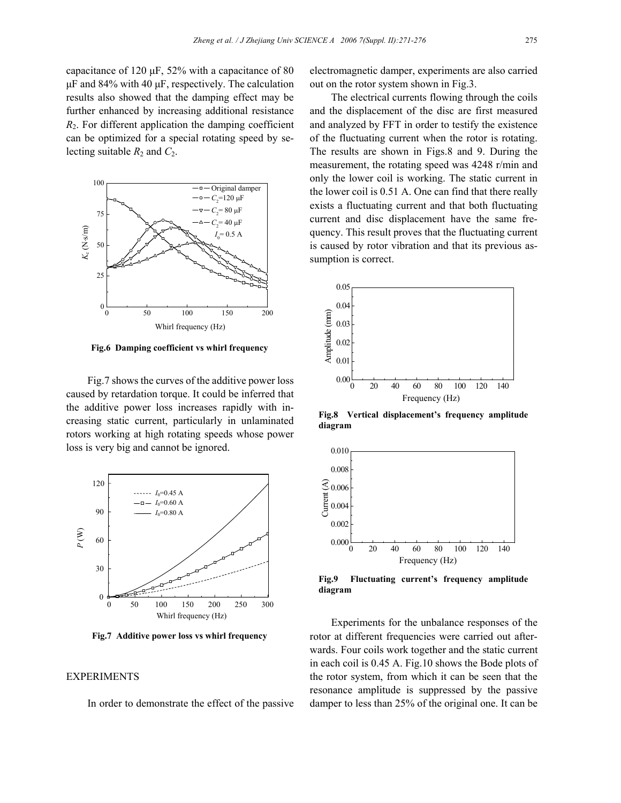capacitance of 120  $\mu$ F, 52% with a capacitance of 80  $\mu$ F and 84% with 40  $\mu$ F, respectively. The calculation results also showed that the damping effect may be further enhanced by increasing additional resistance *R*2. For different application the damping coefficient can be optimized for a special rotating speed by selecting suitable  $R_2$  and  $C_2$ .



**Fig.6 Damping coefficient vs whirl frequency** 

Fig.7 shows the curves of the additive power loss caused by retardation torque. It could be inferred that the additive power loss increases rapidly with increasing static current, particularly in unlaminated rotors working at high rotating speeds whose power loss is very big and cannot be ignored.



**Fig.7 Additive power loss vs whirl frequency** 

# EXPERIMENTS

In order to demonstrate the effect of the passive

electromagnetic damper, experiments are also carried out on the rotor system shown in Fig.3.

The electrical currents flowing through the coils and the displacement of the disc are first measured and analyzed by FFT in order to testify the existence of the fluctuating current when the rotor is rotating. The results are shown in Figs.8 and 9. During the measurement, the rotating speed was 4248 r/min and only the lower coil is working. The static current in the lower coil is 0.51 A. One can find that there really exists a fluctuating current and that both fluctuating current and disc displacement have the same frequency. This result proves that the fluctuating current is caused by rotor vibration and that its previous assumption is correct.



**Fig.8 Vertical displacement's frequency amplitude diagram** 



**Fig.9 Fluctuating current's frequency amplitude diagram** 

Experiments for the unbalance responses of the rotor at different frequencies were carried out afterwards. Four coils work together and the static current in each coil is 0.45 A. Fig.10 shows the Bode plots of the rotor system, from which it can be seen that the resonance amplitude is suppressed by the passive damper to less than 25% of the original one. It can be